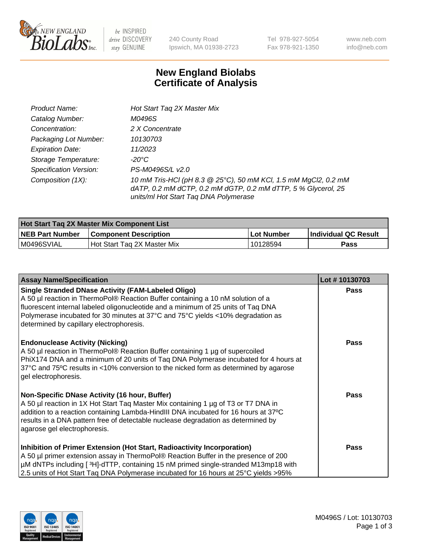

 $be$  INSPIRED drive DISCOVERY stay GENUINE

240 County Road Ipswich, MA 01938-2723

Tel 978-927-5054 Fax 978-921-1350 www.neb.com info@neb.com

## **New England Biolabs Certificate of Analysis**

| Product Name:           | Hot Start Tag 2X Master Mix                                                                                                                                               |
|-------------------------|---------------------------------------------------------------------------------------------------------------------------------------------------------------------------|
| Catalog Number:         | M0496S                                                                                                                                                                    |
| Concentration:          | 2 X Concentrate                                                                                                                                                           |
| Packaging Lot Number:   | 10130703                                                                                                                                                                  |
| <b>Expiration Date:</b> | 11/2023                                                                                                                                                                   |
| Storage Temperature:    | -20°C                                                                                                                                                                     |
| Specification Version:  | PS-M0496S/L v2.0                                                                                                                                                          |
| Composition (1X):       | 10 mM Tris-HCl (pH 8.3 @ 25°C), 50 mM KCl, 1.5 mM MgCl2, 0.2 mM<br>dATP, 0.2 mM dCTP, 0.2 mM dGTP, 0.2 mM dTTP, 5 % Glycerol, 25<br>units/ml Hot Start Taq DNA Polymerase |

| <b>Hot Start Tag 2X Master Mix Component List</b> |                               |                   |                       |  |
|---------------------------------------------------|-------------------------------|-------------------|-----------------------|--|
| <b>NEB Part Number</b>                            | <b>Component Description</b>  | <b>Lot Number</b> | ∣Individual QC Result |  |
| M0496SVIAL                                        | l Hot Start Tag 2X Master Mix | 10128594          | Pass                  |  |

| <b>Assay Name/Specification</b>                                                                                                                                                                                                                                                                                                                                  | Lot #10130703 |
|------------------------------------------------------------------------------------------------------------------------------------------------------------------------------------------------------------------------------------------------------------------------------------------------------------------------------------------------------------------|---------------|
| <b>Single Stranded DNase Activity (FAM-Labeled Oligo)</b><br>A 50 µl reaction in ThermoPol® Reaction Buffer containing a 10 nM solution of a<br>fluorescent internal labeled oligonucleotide and a minimum of 25 units of Taq DNA<br>Polymerase incubated for 30 minutes at 37°C and 75°C yields <10% degradation as<br>determined by capillary electrophoresis. | <b>Pass</b>   |
| <b>Endonuclease Activity (Nicking)</b><br>A 50 µl reaction in ThermoPol® Reaction Buffer containing 1 µg of supercoiled<br>PhiX174 DNA and a minimum of 20 units of Taq DNA Polymerase incubated for 4 hours at<br>37°C and 75°C results in <10% conversion to the nicked form as determined by agarose<br>gel electrophoresis.                                  | Pass          |
| Non-Specific DNase Activity (16 hour, Buffer)<br>A 50 µl reaction in 1X Hot Start Taq Master Mix containing 1 µg of T3 or T7 DNA in<br>addition to a reaction containing Lambda-HindIII DNA incubated for 16 hours at 37°C<br>results in a DNA pattern free of detectable nuclease degradation as determined by<br>agarose gel electrophoresis.                  | Pass          |
| Inhibition of Primer Extension (Hot Start, Radioactivity Incorporation)<br>A 50 µl primer extension assay in ThermoPol® Reaction Buffer in the presence of 200<br>µM dNTPs including [3H]-dTTP, containing 15 nM primed single-stranded M13mp18 with<br>2.5 units of Hot Start Taq DNA Polymerase incubated for 16 hours at 25°C yields > 95%                    | <b>Pass</b>   |

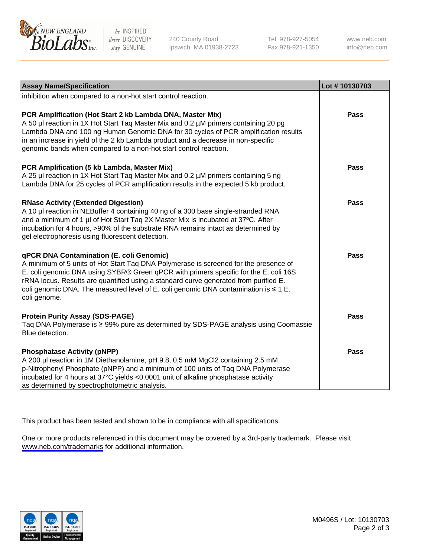

be INSPIRED drive DISCOVERY stay GENUINE

240 County Road Ipswich, MA 01938-2723 Tel 978-927-5054 Fax 978-921-1350

www.neb.com info@neb.com

| <b>Assay Name/Specification</b>                                                                                                                                                                                                                                                                                                                                                                                                     | Lot #10130703 |
|-------------------------------------------------------------------------------------------------------------------------------------------------------------------------------------------------------------------------------------------------------------------------------------------------------------------------------------------------------------------------------------------------------------------------------------|---------------|
| inhibition when compared to a non-hot start control reaction.                                                                                                                                                                                                                                                                                                                                                                       |               |
| PCR Amplification (Hot Start 2 kb Lambda DNA, Master Mix)<br>A 50 µl reaction in 1X Hot Start Tag Master Mix and 0.2 µM primers containing 20 pg<br>Lambda DNA and 100 ng Human Genomic DNA for 30 cycles of PCR amplification results<br>in an increase in yield of the 2 kb Lambda product and a decrease in non-specific<br>genomic bands when compared to a non-hot start control reaction.                                     | Pass          |
| <b>PCR Amplification (5 kb Lambda, Master Mix)</b><br>A 25 µl reaction in 1X Hot Start Tag Master Mix and 0.2 µM primers containing 5 ng<br>Lambda DNA for 25 cycles of PCR amplification results in the expected 5 kb product.                                                                                                                                                                                                     | <b>Pass</b>   |
| <b>RNase Activity (Extended Digestion)</b><br>A 10 µl reaction in NEBuffer 4 containing 40 ng of a 300 base single-stranded RNA<br>and a minimum of 1 µl of Hot Start Tag 2X Master Mix is incubated at 37°C. After<br>incubation for 4 hours, >90% of the substrate RNA remains intact as determined by<br>gel electrophoresis using fluorescent detection.                                                                        | <b>Pass</b>   |
| <b>qPCR DNA Contamination (E. coli Genomic)</b><br>A minimum of 5 units of Hot Start Taq DNA Polymerase is screened for the presence of<br>E. coli genomic DNA using SYBR® Green qPCR with primers specific for the E. coli 16S<br>rRNA locus. Results are quantified using a standard curve generated from purified E.<br>coli genomic DNA. The measured level of E. coli genomic DNA contamination is $\leq 1$ E.<br>coli genome. | <b>Pass</b>   |
| <b>Protein Purity Assay (SDS-PAGE)</b><br>Taq DNA Polymerase is ≥ 99% pure as determined by SDS-PAGE analysis using Coomassie<br>Blue detection.                                                                                                                                                                                                                                                                                    | <b>Pass</b>   |
| <b>Phosphatase Activity (pNPP)</b><br>A 200 µl reaction in 1M Diethanolamine, pH 9.8, 0.5 mM MgCl2 containing 2.5 mM<br>p-Nitrophenyl Phosphate (pNPP) and a minimum of 100 units of Taq DNA Polymerase<br>incubated for 4 hours at 37°C yields <0.0001 unit of alkaline phosphatase activity<br>as determined by spectrophotometric analysis.                                                                                      | <b>Pass</b>   |

This product has been tested and shown to be in compliance with all specifications.

One or more products referenced in this document may be covered by a 3rd-party trademark. Please visit <www.neb.com/trademarks>for additional information.